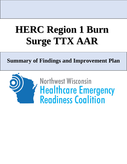# **HERC Region 1 Burn Surge TTX AAR**

# **Summary of Findings and Improvement Plan**

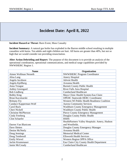## **Incident Overview Incident Date: April 8, 2022**

**Incident Hazard or Threat:** Burn Event, Mass Casualty

**Incident Summary:** A natural gas boiler has exploded in the Barron middle school resulting in multiple casualties with burns. Ten adults and eight children are hurt. All burns are greater than 40%, but not so high that we would consider not providing resuscitation.

**After Action Debriefing and Report:** The purpose of this document is to provide an analysis of the operational coordination, operational communications, and medical surge capabilities provided by NWWIHERC Region 1.

| <b>Name</b>                  | Organization                                   |  |  |
|------------------------------|------------------------------------------------|--|--|
| <b>Aimee Wollman Nesseth</b> | <b>NWWIHERC Program Coordinator</b>            |  |  |
| Alisa Lang                   | <b>Amery Hospital</b>                          |  |  |
| Angela Jacobson              | <b>Advent Health</b>                           |  |  |
| Angela Kjellberg             | Aveanna Health                                 |  |  |
| Anna Treague                 | <b>Burnett County Public Health</b>            |  |  |
| <b>Ashley Greengard</b>      | River Falls Area Hospital                      |  |  |
| <b>Bob Lindberg</b>          | <b>Cumberland Healthcare</b>                   |  |  |
| <b>Bobby King</b>            | Mayo Clinic Health System-Eau Claire           |  |  |
| Brian Kaczmarski             | <b>OPEHC Statewide HERC Coordinator</b>        |  |  |
| <b>Brittany Fry</b>          | Western WI Public Health Readiness Coalition   |  |  |
| Candace Kapperman-Wolf       | <b>Aurora Community Services</b>               |  |  |
| <b>Carol Buck</b>            | <b>Washburn County Emergency Management</b>    |  |  |
| Cheri Nickell                | Washburn County Public Health                  |  |  |
| <b>Christine McPherson</b>   | <b>Pierce County Emergency Management</b>      |  |  |
| Cindy Freeberg               | Douglas County Public Health                   |  |  |
| <b>Clint Schaefer</b>        | <b>HSHS</b>                                    |  |  |
|                              | HealthPartners Valley Hospitals: Amery, Hudson |  |  |
| Darren Van Blaricom          | and Westfields.                                |  |  |
| Dave Sletten                 | Douglas County Emergency Manager               |  |  |
| Denise McNeely               | Aveanna Health                                 |  |  |
| Doug Jennings                | <b>Memorial Medical Center</b>                 |  |  |
| Doug Tembreull               | <b>Ellsworth Health Services</b>               |  |  |
| <b>Emily Wievel</b>          | Western Region OPPA Office                     |  |  |
| Jackie Krumenauer            | Eau Claire City County Health Department       |  |  |
| Jamie McCready               | <b>Cumberland Healthcare</b>                   |  |  |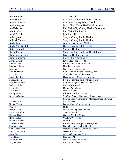| Jennie Orman<br><b>Christian Community Homes-Hudson</b><br>Jennifer Lenbom<br>Chippewa County Public Health<br>Mayo Clinic Home Health and Hospice<br>Jessica Wayne<br>Joe Kalscheur<br>Eau Claire City County Health Department<br>Eau Claire Fire Rescue<br>Jon Schultz<br>Josh Weirich<br>Life Link III<br>Julia Lyons<br>Sawyer County Public Health<br>Julie McCallum<br>Sawyer County Public Health<br>Kari Clark<br><b>Amery Hospital and Clinics</b><br><b>Barron County Public Health</b><br>Karla Potts-Shufelt<br>Spooner Health<br>Kathy Semrad<br>Spring Valley Health and Rehabilitation<br>Kevin Larson<br><b>Essentia Health-Superior</b><br>Kimberly Johnson<br>Mayo Clinic Ambulance<br>Kirk Gunderson<br>River Falls Area Hospital<br>Krysta Reuter<br>Laura Sauve<br><b>Barron County Public Health</b><br>Laurice Hillman<br><b>Heartland Hospice</b><br>Len Fast<br>Care and Rehab-Barron<br>Lisa McMahon<br><b>Polk County Emergency Management</b><br><b>Ashland County Public Health</b><br>Liz Szot<br>Hayward Area Memorial Hospital<br><b>Mark Manning</b><br>Maria Nelson<br>Pepin County Emergency Management<br>St. Croix Regional Medical Center<br><b>Matthew Maxwell</b><br>MCHS-Northland<br>Melissa Miller<br>Mike Miller<br><b>Durand Ambulance</b><br>Mike Zolik<br>North Air Care<br><b>Ellsworth Health Services</b><br>Nancy Shafer<br>Natasha Cardinal<br>St. Croix County Emergency Management<br>Sawyer County Emergency Management and Sawyer<br><b>County EMS</b><br><b>Nate Dunston</b><br>Nicole Nelson<br><b>Barron County Public Health</b><br><b>HSHS</b><br>Paul Ebel<br><b>Randy Book</b><br><b>NW WEM Regional Director</b><br>Rebecca Wallin<br>Spooner Health<br><b>Osceola Medical Center</b><br>Richard Haider<br>Robb Paulson<br>Western WI Health<br><b>Robert Goodland</b><br><b>NWWIRTAC</b><br>Roxanne Kahan<br><b>Price County Emergency Management</b><br>Sara Wartman<br><b>Bayfield County Public Health</b><br>Marshfield Medical Center-Eau Claire<br>Shawn McCarthy<br>Western WI Health<br>Shonda Helgeson<br><b>Steve Lauer</b><br><b>Aurora Community Services</b><br><b>Baldwin EMS</b><br>Tom Boyer<br><b>Travis Klukas</b><br>MCHS-Chippewa Valley<br>MCHS-Eau Claire<br><b>Wayne Street</b> | Jen Anderson | The Deerfield |  |  |
|--------------------------------------------------------------------------------------------------------------------------------------------------------------------------------------------------------------------------------------------------------------------------------------------------------------------------------------------------------------------------------------------------------------------------------------------------------------------------------------------------------------------------------------------------------------------------------------------------------------------------------------------------------------------------------------------------------------------------------------------------------------------------------------------------------------------------------------------------------------------------------------------------------------------------------------------------------------------------------------------------------------------------------------------------------------------------------------------------------------------------------------------------------------------------------------------------------------------------------------------------------------------------------------------------------------------------------------------------------------------------------------------------------------------------------------------------------------------------------------------------------------------------------------------------------------------------------------------------------------------------------------------------------------------------------------------------------------------------------------------------------------------------------------------------------------------------------------------------------------------------------------------------------------------------------------------------------------------------------------------------------------------------------------------------------------------------------------------------------------------------------------------------------------------------------------------------------------------------------------------------------------------------|--------------|---------------|--|--|
|                                                                                                                                                                                                                                                                                                                                                                                                                                                                                                                                                                                                                                                                                                                                                                                                                                                                                                                                                                                                                                                                                                                                                                                                                                                                                                                                                                                                                                                                                                                                                                                                                                                                                                                                                                                                                                                                                                                                                                                                                                                                                                                                                                                                                                                                          |              |               |  |  |
|                                                                                                                                                                                                                                                                                                                                                                                                                                                                                                                                                                                                                                                                                                                                                                                                                                                                                                                                                                                                                                                                                                                                                                                                                                                                                                                                                                                                                                                                                                                                                                                                                                                                                                                                                                                                                                                                                                                                                                                                                                                                                                                                                                                                                                                                          |              |               |  |  |
|                                                                                                                                                                                                                                                                                                                                                                                                                                                                                                                                                                                                                                                                                                                                                                                                                                                                                                                                                                                                                                                                                                                                                                                                                                                                                                                                                                                                                                                                                                                                                                                                                                                                                                                                                                                                                                                                                                                                                                                                                                                                                                                                                                                                                                                                          |              |               |  |  |
|                                                                                                                                                                                                                                                                                                                                                                                                                                                                                                                                                                                                                                                                                                                                                                                                                                                                                                                                                                                                                                                                                                                                                                                                                                                                                                                                                                                                                                                                                                                                                                                                                                                                                                                                                                                                                                                                                                                                                                                                                                                                                                                                                                                                                                                                          |              |               |  |  |
|                                                                                                                                                                                                                                                                                                                                                                                                                                                                                                                                                                                                                                                                                                                                                                                                                                                                                                                                                                                                                                                                                                                                                                                                                                                                                                                                                                                                                                                                                                                                                                                                                                                                                                                                                                                                                                                                                                                                                                                                                                                                                                                                                                                                                                                                          |              |               |  |  |
|                                                                                                                                                                                                                                                                                                                                                                                                                                                                                                                                                                                                                                                                                                                                                                                                                                                                                                                                                                                                                                                                                                                                                                                                                                                                                                                                                                                                                                                                                                                                                                                                                                                                                                                                                                                                                                                                                                                                                                                                                                                                                                                                                                                                                                                                          |              |               |  |  |
|                                                                                                                                                                                                                                                                                                                                                                                                                                                                                                                                                                                                                                                                                                                                                                                                                                                                                                                                                                                                                                                                                                                                                                                                                                                                                                                                                                                                                                                                                                                                                                                                                                                                                                                                                                                                                                                                                                                                                                                                                                                                                                                                                                                                                                                                          |              |               |  |  |
|                                                                                                                                                                                                                                                                                                                                                                                                                                                                                                                                                                                                                                                                                                                                                                                                                                                                                                                                                                                                                                                                                                                                                                                                                                                                                                                                                                                                                                                                                                                                                                                                                                                                                                                                                                                                                                                                                                                                                                                                                                                                                                                                                                                                                                                                          |              |               |  |  |
|                                                                                                                                                                                                                                                                                                                                                                                                                                                                                                                                                                                                                                                                                                                                                                                                                                                                                                                                                                                                                                                                                                                                                                                                                                                                                                                                                                                                                                                                                                                                                                                                                                                                                                                                                                                                                                                                                                                                                                                                                                                                                                                                                                                                                                                                          |              |               |  |  |
|                                                                                                                                                                                                                                                                                                                                                                                                                                                                                                                                                                                                                                                                                                                                                                                                                                                                                                                                                                                                                                                                                                                                                                                                                                                                                                                                                                                                                                                                                                                                                                                                                                                                                                                                                                                                                                                                                                                                                                                                                                                                                                                                                                                                                                                                          |              |               |  |  |
|                                                                                                                                                                                                                                                                                                                                                                                                                                                                                                                                                                                                                                                                                                                                                                                                                                                                                                                                                                                                                                                                                                                                                                                                                                                                                                                                                                                                                                                                                                                                                                                                                                                                                                                                                                                                                                                                                                                                                                                                                                                                                                                                                                                                                                                                          |              |               |  |  |
|                                                                                                                                                                                                                                                                                                                                                                                                                                                                                                                                                                                                                                                                                                                                                                                                                                                                                                                                                                                                                                                                                                                                                                                                                                                                                                                                                                                                                                                                                                                                                                                                                                                                                                                                                                                                                                                                                                                                                                                                                                                                                                                                                                                                                                                                          |              |               |  |  |
|                                                                                                                                                                                                                                                                                                                                                                                                                                                                                                                                                                                                                                                                                                                                                                                                                                                                                                                                                                                                                                                                                                                                                                                                                                                                                                                                                                                                                                                                                                                                                                                                                                                                                                                                                                                                                                                                                                                                                                                                                                                                                                                                                                                                                                                                          |              |               |  |  |
|                                                                                                                                                                                                                                                                                                                                                                                                                                                                                                                                                                                                                                                                                                                                                                                                                                                                                                                                                                                                                                                                                                                                                                                                                                                                                                                                                                                                                                                                                                                                                                                                                                                                                                                                                                                                                                                                                                                                                                                                                                                                                                                                                                                                                                                                          |              |               |  |  |
|                                                                                                                                                                                                                                                                                                                                                                                                                                                                                                                                                                                                                                                                                                                                                                                                                                                                                                                                                                                                                                                                                                                                                                                                                                                                                                                                                                                                                                                                                                                                                                                                                                                                                                                                                                                                                                                                                                                                                                                                                                                                                                                                                                                                                                                                          |              |               |  |  |
|                                                                                                                                                                                                                                                                                                                                                                                                                                                                                                                                                                                                                                                                                                                                                                                                                                                                                                                                                                                                                                                                                                                                                                                                                                                                                                                                                                                                                                                                                                                                                                                                                                                                                                                                                                                                                                                                                                                                                                                                                                                                                                                                                                                                                                                                          |              |               |  |  |
|                                                                                                                                                                                                                                                                                                                                                                                                                                                                                                                                                                                                                                                                                                                                                                                                                                                                                                                                                                                                                                                                                                                                                                                                                                                                                                                                                                                                                                                                                                                                                                                                                                                                                                                                                                                                                                                                                                                                                                                                                                                                                                                                                                                                                                                                          |              |               |  |  |
|                                                                                                                                                                                                                                                                                                                                                                                                                                                                                                                                                                                                                                                                                                                                                                                                                                                                                                                                                                                                                                                                                                                                                                                                                                                                                                                                                                                                                                                                                                                                                                                                                                                                                                                                                                                                                                                                                                                                                                                                                                                                                                                                                                                                                                                                          |              |               |  |  |
|                                                                                                                                                                                                                                                                                                                                                                                                                                                                                                                                                                                                                                                                                                                                                                                                                                                                                                                                                                                                                                                                                                                                                                                                                                                                                                                                                                                                                                                                                                                                                                                                                                                                                                                                                                                                                                                                                                                                                                                                                                                                                                                                                                                                                                                                          |              |               |  |  |
|                                                                                                                                                                                                                                                                                                                                                                                                                                                                                                                                                                                                                                                                                                                                                                                                                                                                                                                                                                                                                                                                                                                                                                                                                                                                                                                                                                                                                                                                                                                                                                                                                                                                                                                                                                                                                                                                                                                                                                                                                                                                                                                                                                                                                                                                          |              |               |  |  |
|                                                                                                                                                                                                                                                                                                                                                                                                                                                                                                                                                                                                                                                                                                                                                                                                                                                                                                                                                                                                                                                                                                                                                                                                                                                                                                                                                                                                                                                                                                                                                                                                                                                                                                                                                                                                                                                                                                                                                                                                                                                                                                                                                                                                                                                                          |              |               |  |  |
|                                                                                                                                                                                                                                                                                                                                                                                                                                                                                                                                                                                                                                                                                                                                                                                                                                                                                                                                                                                                                                                                                                                                                                                                                                                                                                                                                                                                                                                                                                                                                                                                                                                                                                                                                                                                                                                                                                                                                                                                                                                                                                                                                                                                                                                                          |              |               |  |  |
|                                                                                                                                                                                                                                                                                                                                                                                                                                                                                                                                                                                                                                                                                                                                                                                                                                                                                                                                                                                                                                                                                                                                                                                                                                                                                                                                                                                                                                                                                                                                                                                                                                                                                                                                                                                                                                                                                                                                                                                                                                                                                                                                                                                                                                                                          |              |               |  |  |
|                                                                                                                                                                                                                                                                                                                                                                                                                                                                                                                                                                                                                                                                                                                                                                                                                                                                                                                                                                                                                                                                                                                                                                                                                                                                                                                                                                                                                                                                                                                                                                                                                                                                                                                                                                                                                                                                                                                                                                                                                                                                                                                                                                                                                                                                          |              |               |  |  |
|                                                                                                                                                                                                                                                                                                                                                                                                                                                                                                                                                                                                                                                                                                                                                                                                                                                                                                                                                                                                                                                                                                                                                                                                                                                                                                                                                                                                                                                                                                                                                                                                                                                                                                                                                                                                                                                                                                                                                                                                                                                                                                                                                                                                                                                                          |              |               |  |  |
|                                                                                                                                                                                                                                                                                                                                                                                                                                                                                                                                                                                                                                                                                                                                                                                                                                                                                                                                                                                                                                                                                                                                                                                                                                                                                                                                                                                                                                                                                                                                                                                                                                                                                                                                                                                                                                                                                                                                                                                                                                                                                                                                                                                                                                                                          |              |               |  |  |
|                                                                                                                                                                                                                                                                                                                                                                                                                                                                                                                                                                                                                                                                                                                                                                                                                                                                                                                                                                                                                                                                                                                                                                                                                                                                                                                                                                                                                                                                                                                                                                                                                                                                                                                                                                                                                                                                                                                                                                                                                                                                                                                                                                                                                                                                          |              |               |  |  |
|                                                                                                                                                                                                                                                                                                                                                                                                                                                                                                                                                                                                                                                                                                                                                                                                                                                                                                                                                                                                                                                                                                                                                                                                                                                                                                                                                                                                                                                                                                                                                                                                                                                                                                                                                                                                                                                                                                                                                                                                                                                                                                                                                                                                                                                                          |              |               |  |  |
|                                                                                                                                                                                                                                                                                                                                                                                                                                                                                                                                                                                                                                                                                                                                                                                                                                                                                                                                                                                                                                                                                                                                                                                                                                                                                                                                                                                                                                                                                                                                                                                                                                                                                                                                                                                                                                                                                                                                                                                                                                                                                                                                                                                                                                                                          |              |               |  |  |
|                                                                                                                                                                                                                                                                                                                                                                                                                                                                                                                                                                                                                                                                                                                                                                                                                                                                                                                                                                                                                                                                                                                                                                                                                                                                                                                                                                                                                                                                                                                                                                                                                                                                                                                                                                                                                                                                                                                                                                                                                                                                                                                                                                                                                                                                          |              |               |  |  |
|                                                                                                                                                                                                                                                                                                                                                                                                                                                                                                                                                                                                                                                                                                                                                                                                                                                                                                                                                                                                                                                                                                                                                                                                                                                                                                                                                                                                                                                                                                                                                                                                                                                                                                                                                                                                                                                                                                                                                                                                                                                                                                                                                                                                                                                                          |              |               |  |  |
|                                                                                                                                                                                                                                                                                                                                                                                                                                                                                                                                                                                                                                                                                                                                                                                                                                                                                                                                                                                                                                                                                                                                                                                                                                                                                                                                                                                                                                                                                                                                                                                                                                                                                                                                                                                                                                                                                                                                                                                                                                                                                                                                                                                                                                                                          |              |               |  |  |
|                                                                                                                                                                                                                                                                                                                                                                                                                                                                                                                                                                                                                                                                                                                                                                                                                                                                                                                                                                                                                                                                                                                                                                                                                                                                                                                                                                                                                                                                                                                                                                                                                                                                                                                                                                                                                                                                                                                                                                                                                                                                                                                                                                                                                                                                          |              |               |  |  |
|                                                                                                                                                                                                                                                                                                                                                                                                                                                                                                                                                                                                                                                                                                                                                                                                                                                                                                                                                                                                                                                                                                                                                                                                                                                                                                                                                                                                                                                                                                                                                                                                                                                                                                                                                                                                                                                                                                                                                                                                                                                                                                                                                                                                                                                                          |              |               |  |  |
|                                                                                                                                                                                                                                                                                                                                                                                                                                                                                                                                                                                                                                                                                                                                                                                                                                                                                                                                                                                                                                                                                                                                                                                                                                                                                                                                                                                                                                                                                                                                                                                                                                                                                                                                                                                                                                                                                                                                                                                                                                                                                                                                                                                                                                                                          |              |               |  |  |
|                                                                                                                                                                                                                                                                                                                                                                                                                                                                                                                                                                                                                                                                                                                                                                                                                                                                                                                                                                                                                                                                                                                                                                                                                                                                                                                                                                                                                                                                                                                                                                                                                                                                                                                                                                                                                                                                                                                                                                                                                                                                                                                                                                                                                                                                          |              |               |  |  |
|                                                                                                                                                                                                                                                                                                                                                                                                                                                                                                                                                                                                                                                                                                                                                                                                                                                                                                                                                                                                                                                                                                                                                                                                                                                                                                                                                                                                                                                                                                                                                                                                                                                                                                                                                                                                                                                                                                                                                                                                                                                                                                                                                                                                                                                                          |              |               |  |  |
|                                                                                                                                                                                                                                                                                                                                                                                                                                                                                                                                                                                                                                                                                                                                                                                                                                                                                                                                                                                                                                                                                                                                                                                                                                                                                                                                                                                                                                                                                                                                                                                                                                                                                                                                                                                                                                                                                                                                                                                                                                                                                                                                                                                                                                                                          |              |               |  |  |
|                                                                                                                                                                                                                                                                                                                                                                                                                                                                                                                                                                                                                                                                                                                                                                                                                                                                                                                                                                                                                                                                                                                                                                                                                                                                                                                                                                                                                                                                                                                                                                                                                                                                                                                                                                                                                                                                                                                                                                                                                                                                                                                                                                                                                                                                          |              |               |  |  |
|                                                                                                                                                                                                                                                                                                                                                                                                                                                                                                                                                                                                                                                                                                                                                                                                                                                                                                                                                                                                                                                                                                                                                                                                                                                                                                                                                                                                                                                                                                                                                                                                                                                                                                                                                                                                                                                                                                                                                                                                                                                                                                                                                                                                                                                                          |              |               |  |  |
|                                                                                                                                                                                                                                                                                                                                                                                                                                                                                                                                                                                                                                                                                                                                                                                                                                                                                                                                                                                                                                                                                                                                                                                                                                                                                                                                                                                                                                                                                                                                                                                                                                                                                                                                                                                                                                                                                                                                                                                                                                                                                                                                                                                                                                                                          |              |               |  |  |
|                                                                                                                                                                                                                                                                                                                                                                                                                                                                                                                                                                                                                                                                                                                                                                                                                                                                                                                                                                                                                                                                                                                                                                                                                                                                                                                                                                                                                                                                                                                                                                                                                                                                                                                                                                                                                                                                                                                                                                                                                                                                                                                                                                                                                                                                          |              |               |  |  |
|                                                                                                                                                                                                                                                                                                                                                                                                                                                                                                                                                                                                                                                                                                                                                                                                                                                                                                                                                                                                                                                                                                                                                                                                                                                                                                                                                                                                                                                                                                                                                                                                                                                                                                                                                                                                                                                                                                                                                                                                                                                                                                                                                                                                                                                                          |              |               |  |  |
|                                                                                                                                                                                                                                                                                                                                                                                                                                                                                                                                                                                                                                                                                                                                                                                                                                                                                                                                                                                                                                                                                                                                                                                                                                                                                                                                                                                                                                                                                                                                                                                                                                                                                                                                                                                                                                                                                                                                                                                                                                                                                                                                                                                                                                                                          |              |               |  |  |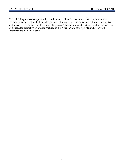The debriefing allowed an opportunity to solicit stakeholder feedback and collect response data to validate processes that worked and identify areas of improvement for processes that were not effective and provide recommendations to enhance these areas. These identified strengths, areas for improvement and suggested corrective actions are captured in this After-Action Report (AAR) and associated Improvement Plan (IP) Matrix.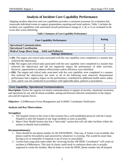### **Analysis of Incident Core Capability Performance**

Aligning incident objectives and core capabilities provides a consistent taxonomy for evaluation that transcends individual events to support preparedness reporting and trend analysis. Table 1 includes the incident core capabilities with associated overall performance ratings (P, S, M, or U) as evaluated in the event after action debriefing.

#### **Table 1-Summary of Core Capability Performance**

| <b>Core Capability Performance</b>               | <b>Rating</b> |  |  |  |
|--------------------------------------------------|---------------|--|--|--|
| <b>Operational Communications</b>                |               |  |  |  |
| <b>Operational Coordination</b>                  |               |  |  |  |
| Medical Surge (Burn Surge – Adult and Pediatric) |               |  |  |  |
| <b>Ratings Definitions</b>                       |               |  |  |  |

• **(P):** The targets and critical tasks associated with the core capability were completed in a manner that achieved the objective(s).

- **(S):** The targets and critical tasks associated with the core capability were completed in a manner that achieved the objective(s) and did not negatively impact the performance of other activities. However, opportunities to enhance effectiveness and/or efficiency were identified.
- **(M):** The targets and critical tasks associated with the core capability were completed in a manner that achieved the objective(s), but some or all of the following were observed: demonstrated performance had a negative impact on the performance; contributed to additional health and/or safety risks; and/or was not conducted in accordance with applicable plans, policies or procedures.

#### **Core Capability: Operational Communications**

**Description:** Ensure the capacity for timely communications in support of security, situational awareness, and operations by any and all means available, among and between affected communities in the impact area and all response forces.

**Objective:** 1) EMResource Event Management and 2) HERC Coordinator Notification

#### **Analysis and Key Observations:**

#### **Strength(s):**

- 1. The hospital closest to the event in this scenario has a well-established protocol with the County Dispatch to alert the hospital of any large incidents as soon as possible.
- 2. Mayo Clinic Health System also has a "bed ready" system that will call other facilities within the system to identify bed availability.

#### **Recommendation(s):**

- 1. There should be one phone number for the NWWIHERC. That way, if Aimee is not available, that phone could be forwarded to and answered by whomever is covering. This would be easier than having to try to remember if someone is out of town or unavailable.
- 2. Current burn surge plan states either the "receiving facility OR HERC Coordinator" will create an incident in EMResource. This lack of clarity could result in confusion about who is actually supposed to create the incident. May be better to write the HERC phone number into all hospital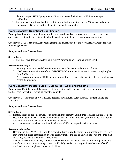plans and expect HERC program coordinator to create the incident in EMResource upon notification.

3. The primary Burn Surge Facilities within normal referral patterns are in Minnesota and are not on EMResource. Need an additional way to contact them directly.

#### **Core Capability: Operational Coordination**

**Description:** Establish and maintain a unified and coordinated operational structure and process that appropriately integrates all critical stakeholders and supports the execution of core capabilities.

**Objectives:** 1) EMResource Event Management and 2) Activation of the NWWIHERC Response Plan, Burn Surge Annex.

#### **Analysis and Key Observations:**

#### **Strength(s):**

1. The local hospital would establish Incident Command upon learning of this event.

#### **Recommendation(s):**

- 1. Training on eICS is needed to effectively manage this event at the Regional level.
- 2. Need to ensure notification of the NWWIHERC Coordinator is written into every hospital plan for a MCI event.
- 3. Need to continue ongoing EMResource training for end user confidence in either responding to or creating an incident.

#### **Core Capability: Medical Surge – Burn Surge – Adult and Pediatric**

**Description:** Rapidly expand the capacity of the existing healthcare system to provide appropriate medical care for victims, including pediatric patients.

**Objectives:** 1) Activation of NWWIHERC Response Plan Burn, Surge Annex 2) Patient Triage and Transport.

#### **Analysis and Key Observations:**

#### **Strength(s):**

- 1. Primary triage of patients is well-established and the primary Burn Surge facilities include Regions Hospital in St. Paul, MN, and Hennepin Healthcare in Minneapolis, MN, both of which are "normal" referral facilities for the hospitals in the NWWIHERC.
- 2. ABLS Now seats have been purchased and are available to Hospital staff at this time.

#### **Recommendation(s):**

- 1. Hospitals in the NWWIHERC would rely on the Burn Surge Facilities in Minnesota to tell us when they were full. Need clarification on who actually makes the call to activate the WI burn surge plan, or do they activate the MN burn surge plan?
- 2. Critical Access Hospitals may not have adequate supplies or medications to hold burn patients until transfer to a Burn Surge Facility. There would likely need to be a regional mobilization of staff, medications, and supplies to impacted facilities.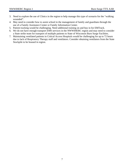- 3. Need to explore the use of Clinics in the region to help manage this type of scenario for the "walking wounded".
- 4. May need to consider how to assist school in the management of family and guardians through the use of a Family Assistance Center or Family Information Center.
- 5. Patient tracking would be challenging. Need additional training on and buy in for EMTrack.
- 6. We do not have enough transport EMS services in the NWWIHERC region and may need to consider a State strike team for transport of multiple patients to State of Wisconsin Burn Surge Facilities.
- 7. Maintaining ventilated patients in Critical Access Hospitals would be challenging for up to 72 hours due to lack of Respiratory Therapy staff and ventilators. Consider obtaining ventilators from the State Stockpile to be housed in region.